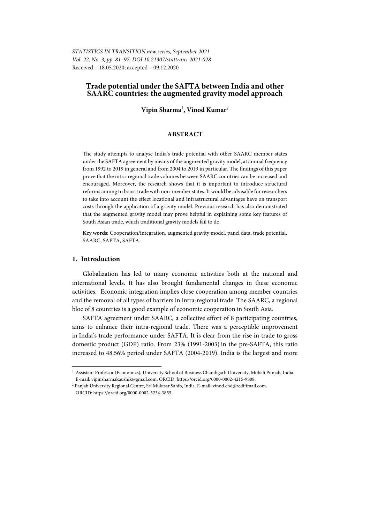*STATISTICS IN TRANSITION new series, September 2021 Vol. 22, No. 3, pp. 81–97, DOI 10.21307/stattrans-2021-028*  Received – 18.05.2020; accepted – 09.12.2020

## **Trade potential under the SAFTA between India and other SAARC countries: the augmented gravity model approach**

**Vipin Sharma**<sup>1</sup> **, Vinod Kumar**<sup>2</sup>

## **ABSTRACT**

The study attempts to analyse India's trade potential with other SAARC member states under the SAFTA agreement by means of the augmented gravity model, at annual frequency from 1992 to 2019 in general and from 2004 to 2019 in particular. The findings of this paper prove that the intra-regional trade volumes between SAARC countries can be increased and encouraged. Moreover, the research shows that it is important to introduce structural reforms aiming to boost trade with non-member states. It would be advisable for researchers to take into account the effect locational and infrastructural advantages have on transport costs through the application of a gravity model. Previous research has also demonstrated that the augmented gravity model may prove helpful in explaining some key features of South Asian trade, which traditional gravity models fail to do.

**Key words:** Cooperation/integration, augmented gravity model, panel data, trade potential, SAARC, SAPTA, SAFTA.

## **1. Introduction**

l

Globalization has led to many economic activities both at the national and international levels. It has also brought fundamental changes in these economic activities. Economic integration implies close cooperation among member countries and the removal of all types of barriers in intra-regional trade. The SAARC, a regional bloc of 8 countries is a good example of economic cooperation in South Asia.

SAFTA agreement under SAARC, a collective effort of 8 participating countries, aims to enhance their intra-regional trade. There was a perceptible improvement in India's trade performance under SAFTA. It is clear from the rise in trade to gross domestic product (GDP) ratio. From 23% (1991-2003) in the pre-SAFTA, this ratio increased to 48.56% period under SAFTA (2004-2019). India is the largest and more

<sup>1</sup> Assistant Professor (Economics), University School of Business Chandigarh University, Mohali Punjab, India. E-mail: vipinsharmakaushik@gmail.com. ORCID: https://orcid.org/0000-0002-4215-9808.

<sup>2</sup> Panjab University Regional Centre, Sri Muktsar Sahib, India. E-mail: vinod.chd@rediffmail.com. ORCID: https://orcid.org/0000-0002-3234-3855.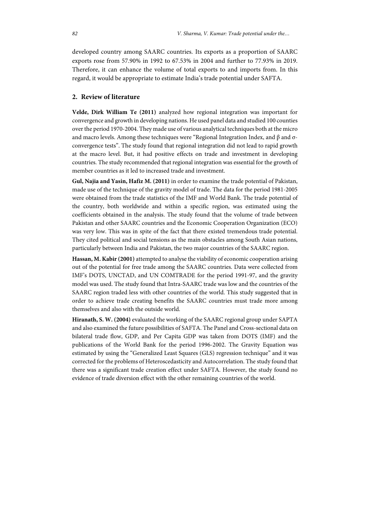developed country among SAARC countries. Its exports as a proportion of SAARC exports rose from 57.90% in 1992 to 67.53% in 2004 and further to 77.93% in 2019. Therefore, it can enhance the volume of total exports to and imports from. In this regard, it would be appropriate to estimate India's trade potential under SAFTA.

## **2. Review of literature**

**Velde, Dirk William Te (2011)** analyzed how regional integration was important for convergence and growth in developing nations. He used panel data and studied 100 counties over the period 1970-2004. They made use of various analytical techniques both at the micro and macro levels. Among these techniques were "Regional Integration Index, and β and σconvergence tests". The study found that regional integration did not lead to rapid growth at the macro level. But, it had positive effects on trade and investment in developing countries. The study recommended that regional integration was essential for the growth of member countries as it led to increased trade and investment.

**Gul, Najia and Yasin, Hafiz M. (2011)** in order to examine the trade potential of Pakistan, made use of the technique of the gravity model of trade. The data for the period 1981-2005 were obtained from the trade statistics of the IMF and World Bank. The trade potential of the country, both worldwide and within a specific region, was estimated using the coefficients obtained in the analysis. The study found that the volume of trade between Pakistan and other SAARC countries and the Economic Cooperation Organization (ECO) was very low. This was in spite of the fact that there existed tremendous trade potential. They cited political and social tensions as the main obstacles among South Asian nations, particularly between India and Pakistan, the two major countries of the SAARC region.

**Hassan, M. Kabir (2001)** attempted to analyse the viability of economic cooperation arising out of the potential for free trade among the SAARC countries. Data were collected from IMF's DOTS, UNCTAD, and UN COMTRADE for the period 1991-97, and the gravity model was used. The study found that Intra-SAARC trade was low and the countries of the SAARC region traded less with other countries of the world. This study suggested that in order to achieve trade creating benefits the SAARC countries must trade more among themselves and also with the outside world.

**Hiranath, S. W. (2004)** evaluated the working of the SAARC regional group under SAPTA and also examined the future possibilities of SAFTA. The Panel and Cross-sectional data on bilateral trade flow, GDP, and Per Capita GDP was taken from DOTS (IMF) and the publications of the World Bank for the period 1996-2002. The Gravity Equation was estimated by using the "Generalized Least Squares (GLS) regression technique" and it was corrected for the problems of Heteroscedasticity and Autocorrelation. The study found that there was a significant trade creation effect under SAFTA. However, the study found no evidence of trade diversion effect with the other remaining countries of the world.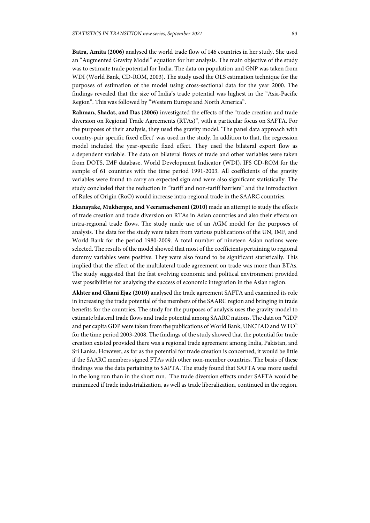**Batra, Amita (2006)** analysed the world trade flow of 146 countries in her study. She used an "Augmented Gravity Model" equation for her analysis. The main objective of the study was to estimate trade potential for India. The data on population and GNP was taken from WDI (World Bank, CD-ROM, 2003). The study used the OLS estimation technique for the purposes of estimation of the model using cross-sectional data for the year 2000. The findings revealed that the size of India's trade potential was highest in the "Asia-Pacific Region". This was followed by "Western Europe and North America".

**Rahman, Shadat, and Das (2006)** investigated the effects of the "trade creation and trade diversion on Regional Trade Agreements (RTAs)", with a particular focus on SAFTA. For the purposes of their analysis, they used the gravity model. 'The panel data approach with country-pair specific fixed effect' was used in the study. In addition to that, the regression model included the year-specific fixed effect. They used the bilateral export flow as a dependent variable. The data on bilateral flows of trade and other variables were taken from DOTS, IMF database, World Development Indicator (WDI), IFS CD-ROM for the sample of 61 countries with the time period 1991-2003. All coefficients of the gravity variables were found to carry an expected sign and were also significant statistically. The study concluded that the reduction in "tariff and non-tariff barriers" and the introduction of Rules of Origin (RoO) would increase intra-regional trade in the SAARC countries.

**Ekanayake, Mukhergee, and Veeramacheneni (2010)** made an attempt to study the effects of trade creation and trade diversion on RTAs in Asian countries and also their effects on intra-regional trade flows. The study made use of an AGM model for the purposes of analysis. The data for the study were taken from various publications of the UN, IMF, and World Bank for the period 1980-2009. A total number of nineteen Asian nations were selected. The results of the model showed that most of the coefficients pertaining to regional dummy variables were positive. They were also found to be significant statistically. This implied that the effect of the multilateral trade agreement on trade was more than BTAs. The study suggested that the fast evolving economic and political environment provided vast possibilities for analysing the success of economic integration in the Asian region.

**Akhter and Ghani Ejaz (2010)** analysed the trade agreement SAFTA and examined its role in increasing the trade potential of the members of the SAARC region and bringing in trade benefits for the countries. The study for the purposes of analysis uses the gravity model to estimate bilateral trade flows and trade potential among SAARC nations. The data on "GDP and per capita GDP were taken from the publications of World Bank, UNCTAD and WTO" for the time period 2003-2008. The findings of the study showed that the potential for trade creation existed provided there was a regional trade agreement among India, Pakistan, and Sri Lanka. However, as far as the potential for trade creation is concerned, it would be little if the SAARC members signed FTAs with other non-member countries. The basis of these findings was the data pertaining to SAPTA. The study found that SAFTA was more useful in the long run than in the short run. The trade diversion effects under SAFTA would be minimized if trade industrialization, as well as trade liberalization, continued in the region.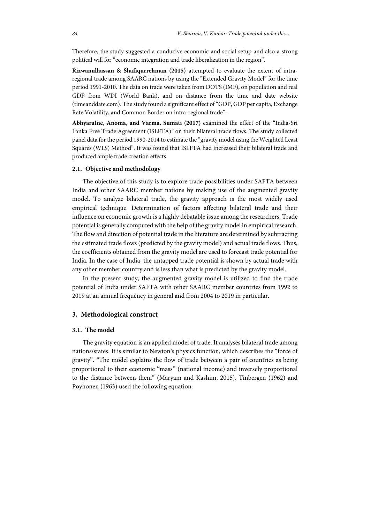Therefore, the study suggested a conducive economic and social setup and also a strong political will for "economic integration and trade liberalization in the region".

**Rizwanulhassan & Shafiqurrehman (2015)** attempted to evaluate the extent of intraregional trade among SAARC nations by using the "Extended Gravity Model" for the time period 1991-2010. The data on trade were taken from DOTS (IMF), on population and real GDP from WDI (World Bank), and on distance from the time and date website (timeanddate.com). The study found a significant effect of "GDP, GDP per capita, Exchange Rate Volatility, and Common Border on intra-regional trade".

**Abhyaratne, Anoma, and Varma, Sumati (2017)** examined the effect of the "India-Sri Lanka Free Trade Agreement (ISLFTA)" on their bilateral trade flows. The study collected panel data for the period 1990-2014 to estimate the "gravity model using the Weighted Least Squares (WLS) Method". It was found that ISLFTA had increased their bilateral trade and produced ample trade creation effects.

#### **2.1. Objective and methodology**

The objective of this study is to explore trade possibilities under SAFTA between India and other SAARC member nations by making use of the augmented gravity model. To analyze bilateral trade, the gravity approach is the most widely used empirical technique. Determination of factors affecting bilateral trade and their influence on economic growth is a highly debatable issue among the researchers. Trade potential is generally computed with the help of the gravity model in empirical research. The flow and direction of potential trade in the literature are determined by subtracting the estimated trade flows (predicted by the gravity model) and actual trade flows. Thus, the coefficients obtained from the gravity model are used to forecast trade potential for India. In the case of India, the untapped trade potential is shown by actual trade with any other member country and is less than what is predicted by the gravity model.

In the present study, the augmented gravity model is utilized to find the trade potential of India under SAFTA with other SAARC member countries from 1992 to 2019 at an annual frequency in general and from 2004 to 2019 in particular.

## **3. Methodological construct**

## **3.1. The model**

The gravity equation is an applied model of trade. It analyses bilateral trade among nations/states. It is similar to Newton's physics function, which describes the "force of gravity". "The model explains the flow of trade between a pair of countries as being proportional to their economic ''mass'' (national income) and inversely proportional to the distance between them" (Maryam and Kashim, 2015). Tinbergen (1962) and Poyhonen (1963) used the following equation: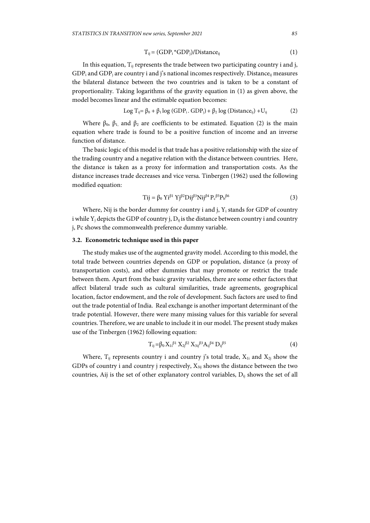$$
T_{ij} = (GDP_i * GDP_j) / Distance_{ij}
$$
 (1)

In this equation,  $T_{ii}$  represents the trade between two participating country i and j,  $GDP_i$  and  $GDP_i$  are country i and j's national incomes respectively. Distance<sub>ii</sub> measures the bilateral distance between the two countries and is taken to be a constant of proportionality. Taking logarithms of the gravity equation in (1) as given above, the model becomes linear and the estimable equation becomes:

$$
Log T_{ij} = \beta_0 + \beta_1 log (GDP_i, GDP_j) + \beta_2 log (Distance_{ij}) + U_{ij}
$$
 (2)

Where  $\beta_0$ ,  $\beta_1$ , and  $\beta_2$  are coefficients to be estimated. Equation (2) is the main equation where trade is found to be a positive function of income and an inverse function of distance.

The basic logic of this model is that trade has a positive relationship with the size of the trading country and a negative relation with the distance between countries. Here, the distance is taken as a proxy for information and transportation costs. As the distance increases trade decreases and vice versa. Tinbergen (1962) used the following modified equation:

$$
Tij = \beta_0 Y i^{\beta_1} Y j^{\beta_2} Dij^{\beta_3} Nij^{\beta_4} P_c^{\beta_5} P_b^{\beta_6}
$$
 (3)

Where, Nij is the border dummy for country i and j,  $Y_i$  stands for GDP of country i while  $Y_i$  depicts the GDP of country j,  $D_{ii}$  is the distance between country i and country j, Pc shows the commonwealth preference dummy variable.

#### **3.2. Econometric technique used in this paper**

The study makes use of the augmented gravity model. According to this model, the total trade between countries depends on GDP or population, distance (a proxy of transportation costs), and other dummies that may promote or restrict the trade between them. Apart from the basic gravity variables, there are some other factors that affect bilateral trade such as cultural similarities, trade agreements, geographical location, factor endowment, and the role of development. Such factors are used to find out the trade potential of India. Real exchange is another important determinant of the trade potential. However, there were many missing values for this variable for several countries. Therefore, we are unable to include it in our model. The present study makes use of the Tinbergen (1962) following equation:

$$
T_{ij} = \beta_0 X_{1i}^{\beta 1} X_{2j}^{\beta 2} X_{3ij}^{\beta 3} A_{ij}^{\beta 4} D_{ij}^{\beta 5}
$$
 (4)

Where,  $T_{ii}$  represents country i and country j's total trade,  $X_{1i}$  and  $X_{2i}$  show the GDPs of country i and country j respectively,  $X_{3ii}$  shows the distance between the two countries, Aij is the set of other explanatory control variables,  $D_{ii}$  shows the set of all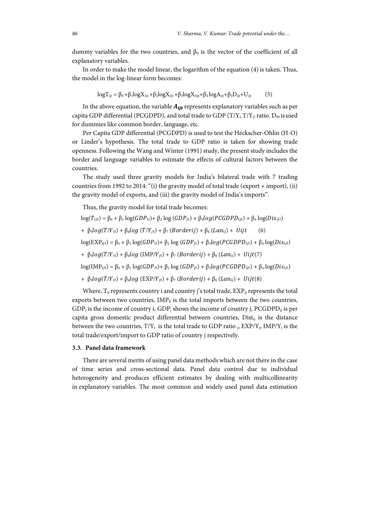dummy variables for the two countries, and  $\beta_0$  is the vector of the coefficient of all explanatory variables.

In order to make the model linear, the logarithm of the equation (4) is taken. Thus, the model in the log-linear form becomes:

$$
log T_{ijt} = \beta_0 + \beta_1 log X_{1it} + \beta_2 log X_{2jt} + \beta_3 log X_{3ijt} + \beta_4 log A_{ijt} + \beta_5 D_{ijt} + U_{ijt}
$$
 (5)

In the above equation, the variable  $A_{ijt}$  represents explanatory variables such as per capita GDP differential (PCGDPD), and total trade to GDP ( $T/Y_i$ ,  $T/Y_j$ ) ratio.  $D_{ijt}$  is used for dummies like common border, language, etc.

Per Capita GDP differential (PCGDPD) is used to test the Heckscher-Ohlin (H-O) or Linder's hypothesis. The total trade to GDP ratio is taken for showing trade openness. Following the Wang and Winter (1991) study, the present study includes the border and language variables to estimate the effects of cultural factors between the countries.

The study used three gravity models for India's bilateral trade with 7 trading countries from 1992 to 2014: "(i) the gravity model of total trade (export + import), (ii) the gravity model of exports, and (iii) the gravity model of India's imports".

Thus, the gravity model for total trade becomes:

$$
\log(T_{ijt}) = \beta_0 + \beta_1 \log(GDP_{it}) + \beta_2 \log(GDP_{jt}) + \beta_3 \log(PCGDPD_{ijt}) + \beta_4 \log(Dis_{ijt})
$$
  
+ 
$$
\beta_5 \log(T/Y_{it}) + \beta_6 \log(T/Y_{jt}) + \beta_7 (Borderij) + \beta_8 (Lani_j) + Uijt
$$
 (6)  

$$
\log(\text{EXP}_{ijt}) = \beta_0 + \beta_1 \log(GDP_{it}) + \beta_2 \log(GDP_{jt}) + \beta_3 \log(PCGDPD_{ijt}) + \beta_4 \log(Dis_{ijt})
$$
  
+ 
$$
\beta_5 \log(T/Y_{it}) + \beta_6 \log(\text{IMP}/Y_{jt}) + \beta_7 (Borderij) + \beta_8 (Lani_j) + Uijt(7)
$$
  

$$
\log(\text{IMP}_{ijt}) = \beta_0 + \beta_1 \log(GDP_{it}) + \beta_2 \log(GDP_{jt}) + \beta_3 \log(PCGDPD_{ijt}) + \beta_4 \log(Dis_{ijt})
$$
  
+ 
$$
\beta_5 \log(T/Y_{it}) + \beta_6 \log(\text{EXP}/Y_{jt}) + \beta_7 (Borderij) + \beta_8 (Lani_j) + Uijt(8)
$$

Where,  $T_{ii}$  represents country i and country j's total trade,  $EXP_{ii}$  represents the total exports between two countries,  $IMP_{ij}$  is the total imports between the two countries,  $GDP_i$  is the income of country i,  $GDP_j$  shows the income of country j,  $PGGDP_i$  is per capita gross domestic product differential between countries, Dist<sub>ij</sub> is the distance between the two countries,  $T/Y_i$  is the total trade to GDP ratio  $_i$ ,  $EXP/Y_i$ ,  $IMP/Y_i$  is the total trade/export/import to GDP ratio of country j respectively.

#### **3.3. Panel data framework**

There are several merits of using panel data methods which are not there in the case of time series and cross-sectional data. Panel data control due to individual heterogeneity and produces efficient estimates by dealing with multicollinearity in explanatory variables. The most common and widely used panel data estimation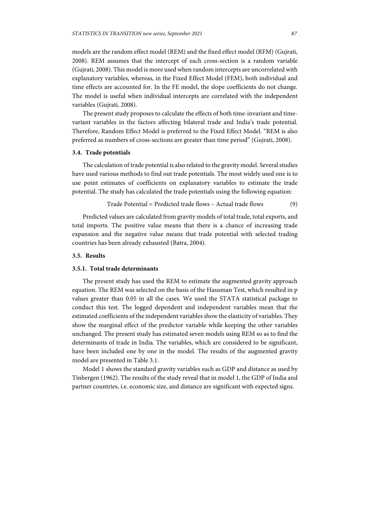models are the random effect model (REM) and the fixed effect model (RFM) (Gujrati, 2008). REM assumes that the intercept of each cross-section is a random variable (Gujrati, 2008). This model is more used when random intercepts are uncorrelated with explanatory variables, whereas, in the Fixed Effect Model (FEM), both individual and time effects are accounted for. In the FE model, the slope coefficients do not change. The model is useful when individual intercepts are correlated with the independent variables (Gujrati, 2008).

The present study proposes to calculate the effects of both time-invariant and timevariant variables in the factors affecting bilateral trade and India's trade potential. Therefore, Random Effect Model is preferred to the Fixed Effect Model. "REM is also preferred as numbers of cross-sections are greater than time period" (Gujrati, 2008).

#### **3.4. Trade potentials**

The calculation of trade potential is also related to the gravity model. Several studies have used various methods to find out trade potentials. The most widely used one is to use point estimates of coefficients on explanatory variables to estimate the trade potential. The study has calculated the trade potentials using the following equation:

$$
Trade Potential = Predicted trade flows - Actual trade flows \qquad (9)
$$

Predicted values are calculated from gravity models of total trade, total exports, and total imports. The positive value means that there is a chance of increasing trade expansion and the negative value means that trade potential with selected trading countries has been already exhausted (Batra, 2004).

#### **3.5. Results**

## **3.5.1. Total trade determinants**

The present study has used the REM to estimate the augmented gravity approach equation. The REM was selected on the basis of the Hausman Test, which resulted in p values greater than 0.05 in all the cases. We used the STATA statistical package to conduct this test. The logged dependent and independent variables mean that the estimated coefficients of the independent variables show the elasticity of variables. They show the marginal effect of the predictor variable while keeping the other variables unchanged. The present study has estimated seven models using REM so as to find the determinants of trade in India. The variables, which are considered to be significant, have been included one by one in the model. The results of the augmented gravity model are presented in Table 3.1.

Model 1 shows the standard gravity variables such as GDP and distance as used by Tinbergen (1962). The results of the study reveal that in model 1, the GDP of India and partner countries, i.e. economic size, and distance are significant with expected signs.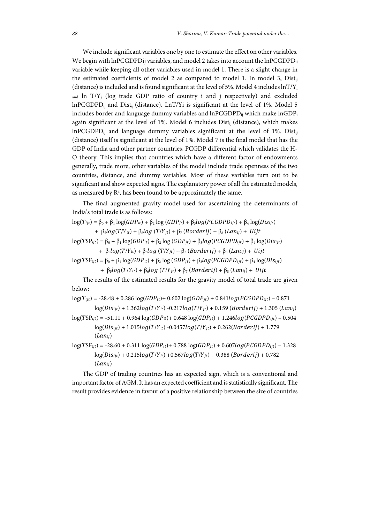We include significant variables one by one to estimate the effect on other variables. We begin with lnPCGDPDij variables, and model 2 takes into account the lnPCGDPD $_{ii}$ variable while keeping all other variables used in model 1. There is a slight change in the estimated coefficients of model 2 as compared to model 1. In model 3, Dist<sub>ij</sub> (distance) is included and is found significant at the level of 5%. Model 4 includes  $ln(T/Y<sub>i</sub>)$ and ln T/Y<sub>j</sub> (log trade GDP ratio of country i and j respectively) and excluded lnPCGDPDij and Distij (distance). LnT/Yi is significant at the level of 1%. Model 5 includes border and language dummy variables and lnPCGDPD<sub>ij</sub> which make lnGDP<sub>i</sub> again significant at the level of 1%. Model 6 includes  $Dist_{ii}$  (distance), which makes  $lnPCGDPD<sub>ij</sub>$  and language dummy variables significant at the level of 1%. Dist<sub>ij</sub> (distance) itself is significant at the level of 1%. Model 7 is the final model that has the GDP of India and other partner countries, PCGDP differential which validates the H-O theory. This implies that countries which have a different factor of endowments generally, trade more, other variables of the model include trade openness of the two countries, distance, and dummy variables. Most of these variables turn out to be significant and show expected signs. The explanatory power of all the estimated models, as measured by  $R^2$ , has been found to be approximately the same.

The final augmented gravity model used for ascertaining the determinants of India's total trade is as follows:

 $log(T_{ijt}) = \beta_0 + \beta_1 log(GDP_{it}) + \beta_2 log(GDP_{it}) + \beta_3 log(PCGDPD_{ijt}) + \beta_4 log(Dis_{ijt})$ 

+  $\beta_5 \log(T/Y_{it}) + \beta_6 \log(T/Y_{jt}) + \beta_7 (Borderij) + \beta_8 (Lan_{ij}) + Uijt$ 

 $log(TSP_{ijt}) = \beta_0 + \beta_1 log(GDP_{it}) + \beta_2 log(GDP_{jt}) + \beta_3 log(PCGDPD_{ijt}) + \beta_4 log(Dis_{ijt})$ +  $\beta_5 \log(T/Y_{it}) + \beta_6 \log(T/Y_{it}) + \beta_7 (Borderij) + \beta_8 (Lan_{ij}) + Uijt$ 

 $log(TSF_{ijt}) = \beta_0 + \beta_1 log(GDP_{it}) + \beta_2 log(GDP_{jt}) + \beta_3 log(PCGDPD_{ijt}) + \beta_4 log(Dis_{ijt})$ 

+  $\beta_5 \log(T/Y_{it}) + \beta_6 \log(T/Y_{it}) + \beta_7 (Borderij) + \beta_8 (Lan_{ij}) + Uijt$ 

The results of the estimated results for the gravity model of total trade are given below:

 $log(T_{ijt}) = -28.48 + 0.286 log(GDP_{it}) + 0.602 log(GDP_{it}) + 0.841log(PCGDP_{ijt}) - 0.871$ 

 $log(Dis_{ijt}) + 1.362log(T/Y_{it}) - 0.217log(T/Y_{jt}) + 0.159$  (Borderij) + 1.305 (Lan<sub>ij</sub>)

 $log(TSP_{ijt}) = -51.11 + 0.964 log(GDP_{it}) + 0.648 log(GDP_{jt}) + 1.246 log(PCGDP_{ijt}) - 0.504$  $log(Dis_{ijt}) + 1.015log(T/Y_{it}) - 0.0457log(T/Y_{it}) + 0.262(Borderij) + 1.779$  $(Lan_{ii})$ 

 $log(TSF_{ijt}) = -28.60 + 0.311 log(GDP_{it}) + 0.788 log(GDP_{it}) + 0.607log(PCGDP_{ijt}) - 1.328$  $log(Dis_{ijt}) + 0.215log(T/Y_{it}) + 0.567log(T/Y_{jt}) + 0.388$  (Borderij) + 0.782  $(Lan_{ij})$ 

The GDP of trading countries has an expected sign, which is a conventional and important factor of AGM. It has an expected coefficient and is statistically significant. The result provides evidence in favour of a positive relationship between the size of countries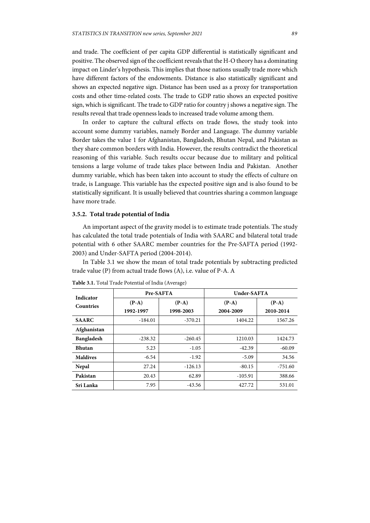and trade. The coefficient of per capita GDP differential is statistically significant and positive. The observed sign of the coefficient reveals that the H-O theory has a dominating impact on Linder's hypothesis. This implies that those nations usually trade more which have different factors of the endowments. Distance is also statistically significant and shows an expected negative sign. Distance has been used as a proxy for transportation costs and other time-related costs. The trade to GDP ratio shows an expected positive sign, which is significant. The trade to GDP ratio for country j shows a negative sign. The results reveal that trade openness leads to increased trade volume among them.

In order to capture the cultural effects on trade flows, the study took into account some dummy variables, namely Border and Language. The dummy variable Border takes the value 1 for Afghanistan, Bangladesh, Bhutan Nepal, and Pakistan as they share common borders with India. However, the results contradict the theoretical reasoning of this variable. Such results occur because due to military and political tensions a large volume of trade takes place between India and Pakistan. Another dummy variable, which has been taken into account to study the effects of culture on trade, is Language. This variable has the expected positive sign and is also found to be statistically significant. It is usually believed that countries sharing a common language have more trade.

#### **3.5.2. Total trade potential of India**

An important aspect of the gravity model is to estimate trade potentials. The study has calculated the total trade potentials of India with SAARC and bilateral total trade potential with 6 other SAARC member countries for the Pre-SAFTA period (1992- 2003) and Under-SAFTA period (2004-2014).

In Table 3.1 we show the mean of total trade potentials by subtracting predicted trade value (P) from actual trade flows (A), i.e. value of P-A. A

| Indicator<br><b>Countries</b> |                      | Pre-SAFTA            | Under-SAFTA          |                      |  |  |
|-------------------------------|----------------------|----------------------|----------------------|----------------------|--|--|
|                               | $(P-A)$<br>1992-1997 | $(P-A)$<br>1998-2003 | $(P-A)$<br>2004-2009 | $(P-A)$<br>2010-2014 |  |  |
| <b>SAARC</b>                  | $-184.01$            | $-370.21$            | 1404.22              | 1567.26              |  |  |
| Afghanistan                   |                      |                      |                      |                      |  |  |
| Bangladesh                    | $-238.32$            | $-260.45$            | 1210.03              | 1424.73              |  |  |
| <b>Bhutan</b>                 | 5.23                 | $-1.05$              | $-42.39$             | $-60.09$             |  |  |
| <b>Maldives</b>               | $-6.54$              | $-1.92$              | $-5.09$              | 34.56                |  |  |
| Nepal                         | 27.24                | $-126.13$            | $-80.15$             | $-751.60$            |  |  |
| Pakistan                      | 20.43                | 62.89                | $-105.91$            | 388.66               |  |  |
| Sri Lanka                     | 7.95                 | $-43.56$             | 427.72               | 531.01               |  |  |

**Table 3.1.** Total Trade Potential of India (Average)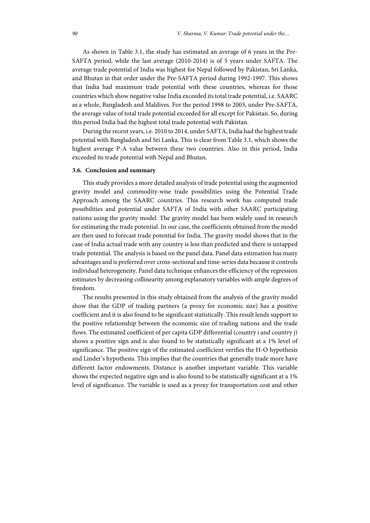As shown in Table 3.1, the study has estimated an average of 6 years in the Pre-SAFTA period, while the last average (2010-2014) is of 5 years under SAFTA. The average trade potential of India was highest for Nepal followed by Pakistan, Sri Lanka, and Bhutan in that order under the Pre-SAFTA period during 1992-1997. This shows that India had maximum trade potential with these countries, whereas for those countries which show negative value India exceeded its total trade potential, i.e. SAARC as a whole, Bangladesh and Maldives. For the period 1998 to 2003, under Pre-SAFTA, the average value of total trade potential exceeded for all except for Pakistan. So, during this period India had the highest total trade potential with Pakistan.

During the recent years, i.e. 2010 to 2014, under SAFTA, India had the highest trade potential with Bangladesh and Sri Lanka. This is clear from Table 3.1, which shows the highest average P-A value between these two countries. Also in this period, India exceeded its trade potential with Nepal and Bhutan.

#### **3.6. Conclusion and summary**

This study provides a more detailed analysis of trade potential using the augmented gravity model and commodity-wise trade possibilities using the Potential Trade Approach among the SAARC countries. This research work has computed trade possibilities and potential under SAFTA of India with other SAARC participating nations using the gravity model. The gravity model has been widely used in research for estimating the trade potential. In our case, the coefficients obtained from the model are then used to forecast trade potential for India. The gravity model shows that in the case of India actual trade with any country is less than predicted and there is untapped trade potential. The analysis is based on the panel data. Panel data estimation has many advantages and is preferred over cross-sectional and time-series data because it controls individual heterogeneity. Panel data technique enhances the efficiency of the regression estimates by decreasing collinearity among explanatory variables with ample degrees of freedom.

The results presented in this study obtained from the analysis of the gravity model show that the GDP of trading partners (a proxy for economic size) has a positive coefficient and it is also found to be significant statistically. This result lends support to the positive relationship between the economic size of trading nations and the trade flows. The estimated coefficient of per capita GDP differential (country i and country j) shows a positive sign and is also found to be statistically significant at a 1% level of significance. The positive sign of the estimated coefficient verifies the H-O hypothesis and Linder's hypothesis. This implies that the countries that generally trade more have different factor endowments. Distance is another important variable. This variable shows the expected negative sign and is also found to be statistically significant at a 1% level of significance. The variable is used as a proxy for transportation cost and other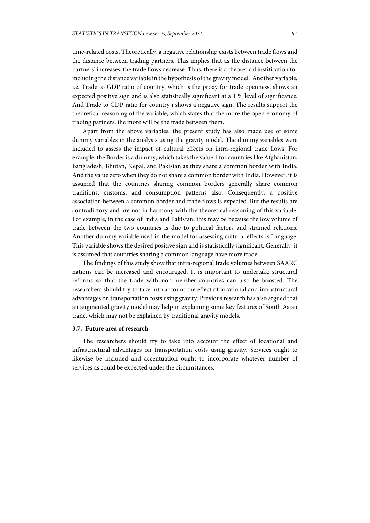time-related costs. Theoretically, a negative relationship exists between trade flows and the distance between trading partners. This implies that as the distance between the partners' increases, the trade flows decrease. Thus, there is a theoretical justification for including the distance variable in the hypothesis of the gravity model. Another variable, i.e. Trade to GDP ratio of country, which is the proxy for trade openness, shows an expected positive sign and is also statistically significant at a 1 % level of significance. And Trade to GDP ratio for country j shows a negative sign. The results support the theoretical reasoning of the variable, which states that the more the open economy of trading partners, the more will be the trade between them.

Apart from the above variables, the present study has also made use of some dummy variables in the analysis using the gravity model. The dummy variables were included to assess the impact of cultural effects on intra-regional trade flows. For example, the Border is a dummy, which takes the value 1 for countries like Afghanistan, Bangladesh, Bhutan, Nepal, and Pakistan as they share a common border with India. And the value zero when they do not share a common border with India. However, it is assumed that the countries sharing common borders generally share common traditions, customs, and consumption patterns also. Consequently, a positive association between a common border and trade flows is expected. But the results are contradictory and are not in harmony with the theoretical reasoning of this variable. For example, in the case of India and Pakistan, this may be because the low volume of trade between the two countries is due to political factors and strained relations. Another dummy variable used in the model for assessing cultural effects is Language. This variable shows the desired positive sign and is statistically significant. Generally, it is assumed that countries sharing a common language have more trade.

The findings of this study show that intra-regional trade volumes between SAARC nations can be increased and encouraged. It is important to undertake structural reforms so that the trade with non-member countries can also be boosted. The researchers should try to take into account the effect of locational and infrastructural advantages on transportation costs using gravity. Previous research has also argued that an augmented gravity model may help in explaining some key features of South Asian trade, which may not be explained by traditional gravity models.

## **3.7. Future area of research**

The researchers should try to take into account the effect of locational and infrastructural advantages on transportation costs using gravity. Services ought to likewise be included and accentuation ought to incorporate whatever number of services as could be expected under the circumstances.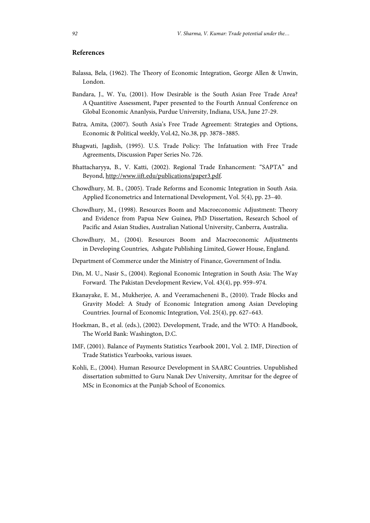## **References**

- Balassa, Bela, (1962). The Theory of Economic Integration, George Allen & Unwin, London.
- Bandara, J., W. Yu, (2001). How Desirable is the South Asian Free Trade Area? A Quantitive Assessment, Paper presented to the Fourth Annual Conference on Global Economic Ananlysis, Purdue University, Indiana, USA, June 27-29.
- Batra, Amita, (2007). South Asia's Free Trade Agreement: Strategies and Options, Economic & Political weekly, Vol.42, No.38, pp. 3878–3885.
- Bhagwati, Jagdish, (1995). U.S. Trade Policy: The Infatuation with Free Trade Agreements, Discussion Paper Series No. 726.
- Bhattacharyya, B., V. Katti, (2002). Regional Trade Enhancement: "SAPTA" and Beyond, http://www.iift.edu/publications/paper3.pdf.
- Chowdhury, M. B., (2005). Trade Reforms and Economic Integration in South Asia. Applied Econometrics and International Development, Vol. 5(4), pp. 23–40.
- Chowdhury, M., (1998). Resources Boom and Macroeconomic Adjustment: Theory and Evidence from Papua New Guinea, PhD Dissertation, Research School of Pacific and Asian Studies, Australian National University, Canberra, Australia.
- Chowdhury, M., (2004). Resources Boom and Macroeconomic Adjustments in Developing Countries, Ashgate Publishing Limited, Gower House, England.
- Department of Commerce under the Ministry of Finance, Government of India.
- Din, M. U., Nasir S., (2004). Regional Economic Integration in South Asia: The Way Forward. The Pakistan Development Review, Vol. 43(4), pp. 959–974.
- Ekanayake, E. M., Mukherjee, A. and Veeramacheneni B., (2010). Trade Blocks and Gravity Model: A Study of Economic Integration among Asian Developing Countries. Journal of Economic Integration, Vol. 25(4), pp. 627–643.
- Hoekman, B., et al. (eds.), (2002). Development, Trade, and the WTO: A Handbook, The World Bank: Washington, D.C.
- IMF, (2001). Balance of Payments Statistics Yearbook 2001, Vol. 2. IMF, Direction of Trade Statistics Yearbooks, various issues.
- Kohli, E., (2004). Human Resource Development in SAARC Countries. Unpublished dissertation submitted to Guru Nanak Dev University, Amritsar for the degree of MSc in Economics at the Punjab School of Economics.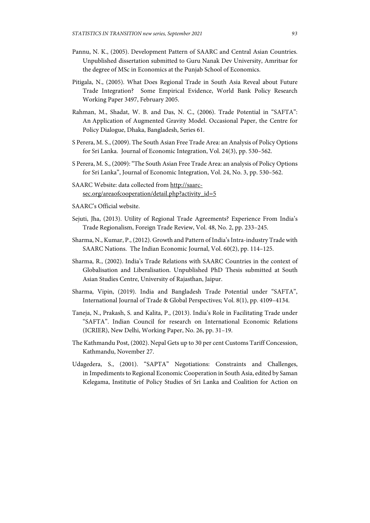- Pannu, N. K., (2005). Development Pattern of SAARC and Central Asian Countries. Unpublished dissertation submitted to Guru Nanak Dev University, Amritsar for the degree of MSc in Economics at the Punjab School of Economics.
- Pitigala, N., (2005). What Does Regional Trade in South Asia Reveal about Future Trade Integration? Some Empirical Evidence, World Bank Policy Research Working Paper 3497, February 2005.
- Rahman, M., Shadat, W. B. and Das, N. C., (2006). Trade Potential in "SAFTA": An Application of Augmented Gravity Model. Occasional Paper, the Centre for Policy Dialogue, Dhaka, Bangladesh, Series 61.
- S Perera, M. S., (2009). The South Asian Free Trade Area: an Analysis of Policy Options for Sri Lanka. Journal of Economic Integration, Vol. 24(3), pp. 530–562.
- S Perera, M. S., (2009): "The South Asian Free Trade Area: an analysis of Policy Options for Sri Lanka", Journal of Economic Integration, Vol. 24, No. 3, pp. 530–562.
- SAARC Website: data collected from http://saarcsec.org/areaofcooperation/detail.php?activity\_id=5
- SAARC's Official website.
- Sejuti, Jha, (2013). Utility of Regional Trade Agreements? Experience From India's Trade Regionalism, Foreign Trade Review, Vol. 48, No. 2, pp. 233–245.
- Sharma, N., Kumar, P., (2012). Growth and Pattern of India's Intra-industry Trade with SAARC Nations. The Indian Economic Journal, Vol. 60(2), pp. 114–125.
- Sharma, R., (2002). India's Trade Relations with SAARC Countries in the context of Globalisation and Liberalisation. Unpublished PhD Thesis submitted at South Asian Studies Centre, University of Rajasthan, Jaipur.
- Sharma, Vipin, (2019). India and Bangladesh Trade Potential under "SAFTA", International Journal of Trade & Global Perspectives; Vol. 8(1), pp. 4109–4134.
- Taneja, N., Prakash, S. and Kalita, P., (2013). India's Role in Facilitating Trade under "SAFTA". Indian Council for research on International Economic Relations (ICRIER), New Delhi, Working Paper, No. 26, pp. 31–19.
- The Kathmandu Post, (2002). Nepal Gets up to 30 per cent Customs Tariff Concession, Kathmandu, November 27.
- Udagedera, S., (2001). "SAPTA" Negotiations: Constraints and Challenges, in Impediments to Regional Economic Cooperation in South Asia, edited by Saman Kelegama, Institutie of Policy Studies of Sri Lanka and Coalition for Action on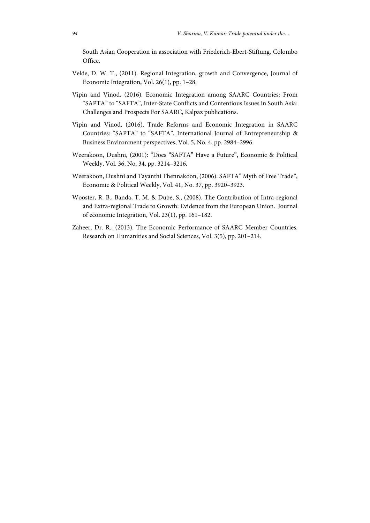South Asian Cooperation in association with Friederich-Ebert-Stiftung, Colombo Office.

- Velde, D. W. T., (2011). Regional Integration, growth and Convergence, Journal of Economic Integration, Vol. 26(1), pp. 1–28.
- Vipin and Vinod, (2016). Economic Integration among SAARC Countries: From "SAPTA" to "SAFTA", Inter-State Conflicts and Contentious Issues in South Asia: Challenges and Prospects For SAARC, Kalpaz publications.
- Vipin and Vinod, (2016). Trade Reforms and Economic Integration in SAARC Countries: "SAPTA" to "SAFTA", International Journal of Entrepreneurship & Business Environment perspectives, Vol. 5, No. 4, pp. 2984–2996.
- Weerakoon, Dushni, (2001): "Does "SAFTA" Have a Future", Economic & Political Weekly, Vol. 36, No. 34, pp. 3214–3216.
- Weerakoon, Dushni and Tayanthi Thennakoon, (2006). SAFTA" Myth of Free Trade", Economic & Political Weekly, Vol. 41, No. 37, pp. 3920–3923.
- Wooster, R. B., Banda, T. M. & Dube, S., (2008). The Contribution of Intra-regional and Extra-regional Trade to Growth: Evidence from the European Union. Journal of economic Integration, Vol. 23(1), pp. 161–182.
- Zaheer, Dr. R., (2013). The Economic Performance of SAARC Member Countries. Research on Humanities and Social Sciences, Vol. 3(5), pp. 201–214.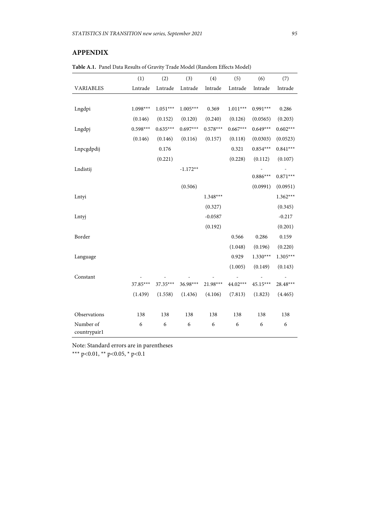# **APPENDIX**

**Table A.1.** Panel Data Results of Gravity Trade Model (Random Effects Model)

|                           | (1)        | (2)        | (3)        | (4)        | (5)        | (6)        | (7)        |
|---------------------------|------------|------------|------------|------------|------------|------------|------------|
| <b>VARIABLES</b>          | Lntrade    | Lntrade    | Lntrade    | lntrade    | Lntrade    | lntrade    | lntrade    |
|                           |            |            |            |            |            |            |            |
| Lngdpi                    | $1.098***$ | $1.051***$ | $1.005***$ | 0.369      | $1.011***$ | $0.991***$ | 0.286      |
|                           | (0.146)    | (0.152)    | (0.120)    | (0.240)    | (0.126)    | (0.0565)   | (0.203)    |
| Lngdpj                    | $0.598***$ | $0.635***$ | $0.697***$ | $0.578***$ | $0.667***$ | $0.649***$ | $0.602***$ |
|                           | (0.146)    | (0.146)    | (0.116)    | (0.157)    | (0.118)    | (0.0303)   | (0.0523)   |
| Lnpcgdpdij                |            | 0.176      |            |            | 0.321      | $0.854***$ | $0.841***$ |
|                           |            | (0.221)    |            |            | (0.228)    | (0.112)    | (0.107)    |
| Lndistij                  |            |            | $-1.172**$ |            |            |            |            |
|                           |            |            |            |            |            | $0.886***$ | $0.871***$ |
|                           |            |            | (0.506)    |            |            | (0.0991)   | (0.0951)   |
| Lntyi                     |            |            |            | $1.348***$ |            |            | $1.362***$ |
|                           |            |            |            | (0.327)    |            |            | (0.345)    |
| Lntyj                     |            |            |            | $-0.0587$  |            |            | $-0.217$   |
|                           |            |            |            | (0.192)    |            |            | (0.201)    |
| Border                    |            |            |            |            | 0.566      | 0.286      | 0.159      |
|                           |            |            |            |            | (1.048)    | (0.196)    | (0.220)    |
| Language                  |            |            |            |            | 0.929      | $1.330***$ | $1.305***$ |
|                           |            |            |            |            | (1.005)    | (0.149)    | (0.143)    |
| Constant                  |            |            |            |            |            |            |            |
|                           | $37.85***$ | 37.35***   | 36.98***   | 21.98***   | 44.02***   | $45.15***$ | 28.48***   |
|                           | (1.439)    | (1.558)    | (1.436)    | (4.106)    | (7.813)    | (1.823)    | (4.465)    |
| Observations              | 138        | 138        | 138        | 138        | 138        | 138        | 138        |
| Number of<br>countrypair1 | 6          | 6          | 6          | 6          | 6          | 6          | 6          |

Note: Standard errors are in parentheses

\*\*\* p<0.01, \*\* p<0.05, \* p<0.1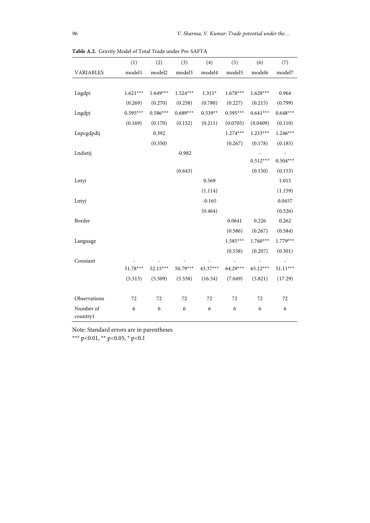|                       | (1)        | (2)        | (3)        | (4)       | (5)        | (6)        | (7)        |
|-----------------------|------------|------------|------------|-----------|------------|------------|------------|
| <b>VARIABLES</b>      | model1     | model2     | model3     | model4    | model5     | model6     | model7     |
|                       |            |            |            |           |            |            |            |
| Lngdpi                | $1.621***$ | $1.649***$ | $1.524***$ | $1.311*$  | $1.678***$ | $1.628***$ | 0.964      |
|                       | (0.269)    | (0.270)    | (0.258)    | (0.780)   | (0.227)    | (0.215)    | (0.799)    |
| Lngdpj                | $0.595***$ | $0.586***$ | $0.689***$ | $0.539**$ | $0.595***$ | $0.641***$ | $0.648***$ |
|                       | (0.169)    | (0.170)    | (0.152)    | (0.211)   | (0.0705)   | (0.0409)   | (0.110)    |
| Lnpcgdpdij            |            | 0.392      |            |           | $1.274***$ | $1.233***$ | $1.246***$ |
|                       |            | (0.350)    |            |           | (0.267)    | (0.178)    | (0.185)    |
| Lndistij              |            |            | $-0.982$   |           |            |            |            |
|                       |            |            |            |           |            | $0.512***$ | $0.504***$ |
|                       |            |            | (0.643)    |           |            | (0.150)    | (0.153)    |
| Lntyi                 |            |            |            | 0.569     |            |            | 1.015      |
|                       |            |            |            | (1.114)   |            |            | (1.159)    |
| Lntyj                 |            |            |            | $-0.165$  |            |            | 0.0457     |
|                       |            |            |            | (0.464)   |            |            | (0.526)    |
| Border                |            |            |            |           | 0.0641     | 0.226      | 0.262      |
|                       |            |            |            |           | (0.586)    | (0.267)    | (0.584)    |
| Language              |            |            |            |           | $1.585***$ | $1.760***$ | $1.779***$ |
|                       |            |            |            |           | (0.538)    | (0.207)    | (0.301)    |
| Constant              |            |            |            |           |            |            |            |
|                       | $51.78***$ | $52.15***$ | 50.79***   | 43.37***  | 64.29***   | $65.12***$ | $51.11***$ |
|                       | (5.513)    | (5.509)    | (5.538)    | (16.54)   | (7.049)    | (5.821)    | (17.29)    |
| Observations          | 72         | 72         | 72         | 72        | 72         | 72         | 72         |
| Number of<br>countryl | 6          | 6          | 6          | 6         | 6          | 6          | 6          |

**Table A.2.** Gravity Model of Total Trade under Pre-SAFTA

Note: Standard errors are in parentheses

\*\*\* p<0.01, \*\* p<0.05, \* p<0.1